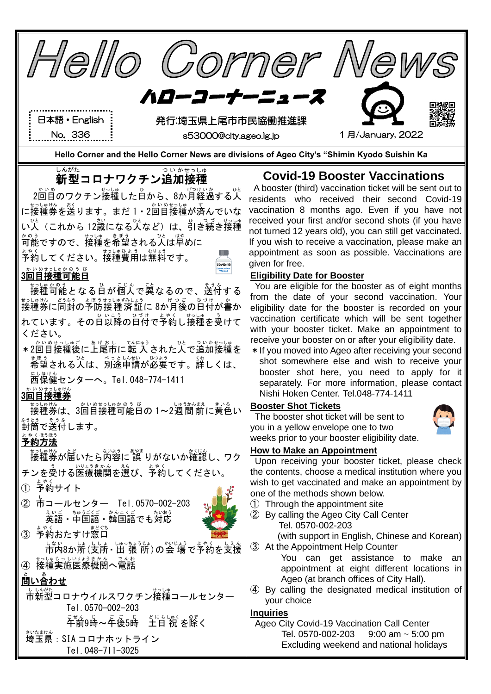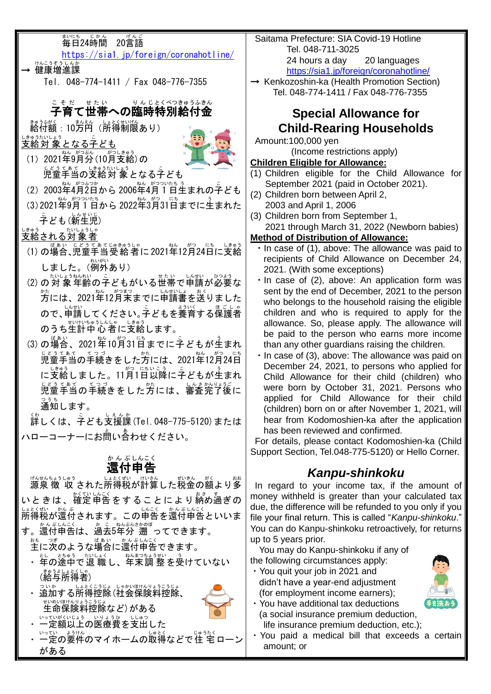

- ・You have additional tax deductions (a social insurance premium deduction, life insurance premium deduction, etc.);
- ・You paid a medical bill that exceeds a certain amount; or

がある

・ 一定額以上の医療費を支出した

・ ー定の要件のマイホームの取得などで住 宅ローン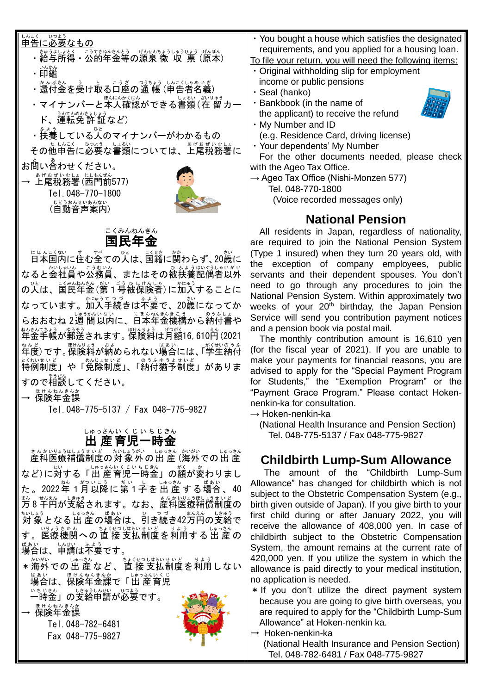| しんこく<br>ひつよう<br>申告に必要なもの<br>きゅうよしょとく こうてきねんきんとう げんせんちょうしゅうひょう げんぽん<br>・給与所得・公的年金等の源泉 徴 収 票 (原本)<br>いんかん<br>・印鑑<br>・ <sup>ゕんぷきん</sup> 、ぅ゜ヒ゜ こぅぎ゜つぅょぅ゜レ <u>。</u> くしゃぁぃぎ<br>・還付金を受け取る口座の通 帳 (申告者名義)<br>ほんにんかくにん<br>しょるい<br>ざいりゅう<br>・マイナンバーと本人確認ができる書類(在 留 カー<br>うんてんめんきょしょう<br>ド、運転免許証など)<br>ひと<br>ふよう<br>・扶養している人のマイナンバーがわかるもの | requir<br>To file yo<br>$\cdot$ Origin<br>· Seal (<br>the ap |
|-------------------------------------------------------------------------------------------------------------------------------------------------------------------------------------------------------------------------------------------------------------------------------------------------------------------------------|--------------------------------------------------------------|
|                                                                                                                                                                                                                                                                                                                               | • You b                                                      |
|                                                                                                                                                                                                                                                                                                                               | incom                                                        |
|                                                                                                                                                                                                                                                                                                                               | $\cdot$ Bankl                                                |
|                                                                                                                                                                                                                                                                                                                               | • My Nu                                                      |
| その他申告に必要な書類については、上尾税務署に                                                                                                                                                                                                                                                                                                       | (e.g.<br>· Your o                                            |
| お問い合わせください。                                                                                                                                                                                                                                                                                                                   | For th<br>with the                                           |
| → 上尾税務署(西門前577)                                                                                                                                                                                                                                                                                                               | $\rightarrow$ Ageo<br>Tel.                                   |
| Tel. 048-770-1800<br>じどうおんせいあんない<br>(自動音声案内)                                                                                                                                                                                                                                                                                  | (V                                                           |
|                                                                                                                                                                                                                                                                                                                               |                                                              |

### 国民 年金 こくみん ねんきん

にほんこくない<br>日本国内に住む全ての人は、国籍に関わらず、20歳に なると会社員や公務員、またはその被扶養配偶者以外 \_ ひとし、こくみんもも。だい こう ひ ほけんしゃ \_ かにゅう<br>の人は、国民年金 (第1号被保険者) に加入することに なっています。<sup>加ゅうてっぱ</sup><br>なっています。加入手続きは不要で、20歳になってか らおおむね 2週 間以内に、日本年金機構から納付書や 年金 ねんきん 手帳 てちょう が郵送 ゆうそう されます。保険料 ほけんりょう は月額 げつがく 16,610円 えん (2021 \*^ど、です。<sub>ぼりのえる</sub><br>年度)です。保険料が納められない場合には、「学生納付 <u>とないましど</u><br>特例制度」や「免除制度」、「納付猶予制度」がありま すので相談 そうだん してください。

— <sup>ほゖんねんきんか</sup><br>→ 保険年金課

Tel.048-775-5137 / Fax 048-775-9827

#### 出 産 育児 一時 金 しゅっさんい く じ い ち じきん

きんかいしょうまいどう たいしょうがい しゅうきん かいがい てっしゅうきん など)に対する「出 産育児一時金」の額が変わりまし た。2022年1月以降に第1子を出産する場合、40 まん。せんふいじょうまいど<br>万8千円が支給されます。なお、産科医療補償制度の たいよう<br>対 象となる出 産の場合は、引き続き42万円の支給で す。医療機関への直 接 支払制度を利用する出 産の <sub>ばぁぃ いせい ふょぅ</sub><br>**場合は、申請は不**要です。

\*海外での出 産 など、 直 接 支払制度を利用しない ばぁぃ<br>場合は、保険年金課で「出 産育児 一時 いちじ 金 きん 」の支給 しきゅう 申請 しんせい が必要 ひつよう です。

→ 保険年金課

Tel.048-782-6481 Fax 048-775-9827



ought a house which satisfies the designated ements, and you applied for a housing loan. our return, you will need the following items:

- al withholding slip for employment ie or public pensions
- 'hanko)
- book (in the name of oplicant) to receive the refund



dependents' My Number

he other documents needed, please check Ageo Tax Office.

Tax Office (Nishi-Monzen 577)

048-770-1800

oice recorded messages only)

# **National Pension**

All residents in Japan, regardless of nationality, are required to join the National Pension System (Type 1 insured) when they turn 20 years old, with the exception of company employees, public servants and their dependent spouses. You don't need to go through any procedures to join the National Pension System. Within approximately two weeks of your  $20<sup>th</sup>$  birthday, the Japan Pension Service will send you contribution payment notices and a pension book via postal mail.

The monthly contribution amount is 16,610 yen (for the fiscal year of 2021). If you are unable to make your payments for financial reasons, you are advised to apply for the "Special Payment Program for Students," the "Exemption Program" or the "Payment Grace Program." Please contact Hokennenkin-ka for consultation.

 $\rightarrow$  Hoken-nenkin-ka

(National Health Insurance and Pension Section) Tel. 048-775-5137 / Fax 048-775-9827

# **Childbirth Lump-Sum Allowance**

The amount of the "Childbirth Lump-Sum Allowance" has changed for childbirth which is not subject to the Obstetric Compensation System (e.g., birth given outside of Japan). If you give birth to your first child during or after January 2022, you will receive the allowance of 408,000 yen. In case of childbirth subject to the Obstetric Compensation System, the amount remains at the current rate of 420,000 yen. If you utilize the system in which the allowance is paid directly to your medical institution, no application is needed.

- \*If you don't utilize the direct payment system because you are going to give birth overseas, you are required to apply for the "Childbirth Lump-Sum Allowance" at Hoken-nenkin ka.
- $\rightarrow$  Hoken-nenkin-ka (National Health Insurance and Pension Section) Tel. 048-782-6481 / Fax 048-775-9827